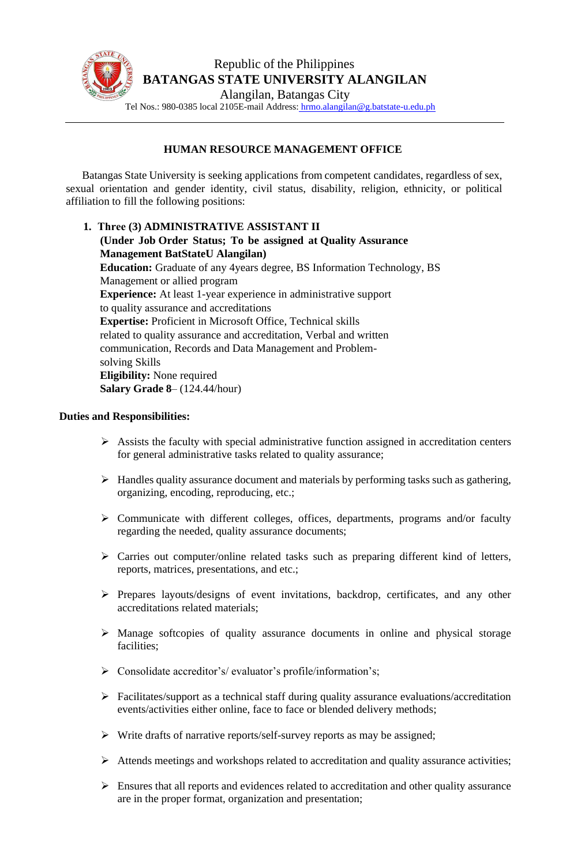

## **HUMAN RESOURCE MANAGEMENT OFFICE**

Batangas State University is seeking applications from competent candidates, regardless of sex, sexual orientation and gender identity, civil status, disability, religion, ethnicity, or political affiliation to fill the following positions:

**1. Three (3) ADMINISTRATIVE ASSISTANT II (Under Job Order Status; To be assigned at Quality Assurance Management BatStateU Alangilan) Education:** Graduate of any 4years degree, BS Information Technology, BS Management or allied program **Experience:** At least 1-year experience in administrative support to quality assurance and accreditations **Expertise:** Proficient in Microsoft Office, Technical skills related to quality assurance and accreditation, Verbal and written communication, Records and Data Management and Problemsolving Skills **Eligibility:** None required **Salary Grade 8**– (124.44/hour)

## **Duties and Responsibilities:**

- $\triangleright$  Assists the faculty with special administrative function assigned in accreditation centers for general administrative tasks related to quality assurance;
- ➢ Handles quality assurance document and materials by performing tasks such as gathering, organizing, encoding, reproducing, etc.;
- ➢ Communicate with different colleges, offices, departments, programs and/or faculty regarding the needed, quality assurance documents;
- ➢ Carries out computer/online related tasks such as preparing different kind of letters, reports, matrices, presentations, and etc.;
- ➢ Prepares layouts/designs of event invitations, backdrop, certificates, and any other accreditations related materials;
- ➢ Manage softcopies of quality assurance documents in online and physical storage facilities;
- ➢ Consolidate accreditor's/ evaluator's profile/information's;
- ➢ Facilitates/support as a technical staff during quality assurance evaluations/accreditation events/activities either online, face to face or blended delivery methods;
- ➢ Write drafts of narrative reports/self-survey reports as may be assigned;
- ➢ Attends meetings and workshops related to accreditation and quality assurance activities;
- $\triangleright$  Ensures that all reports and evidences related to accreditation and other quality assurance are in the proper format, organization and presentation;